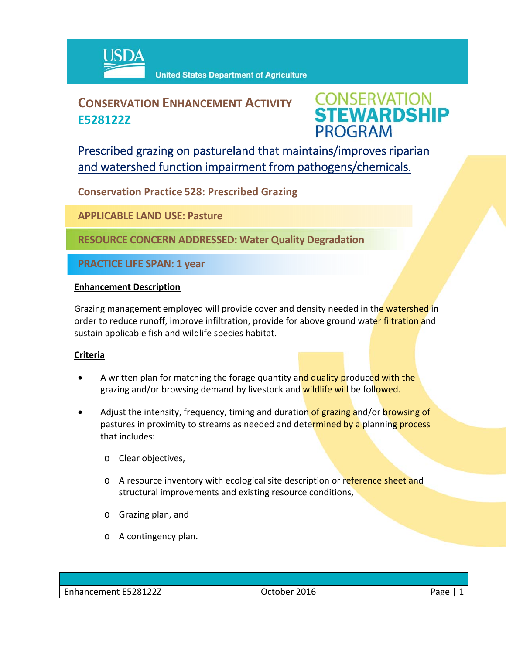

# **CONSERVATION ENHANCEMENT ACTIVITY E528122Z**



Prescribed grazing on pastureland that maintains/improves riparian and watershed function impairment from pathogens/chemicals.

**Conservation Practice 528: Prescribed Grazing**

**APPLICABLE LAND USE: Pasture**

**RESOURCE CONCERN ADDRESSED: Water Quality Degradation**

**PRACTICE LIFE SPAN: 1 year**

### **Enhancement Description**

Grazing management employed will provide cover and density needed in the watershed in order to reduce runoff, improve infiltration, provide for above ground water filtration and sustain applicable fish and wildlife species habitat.

## **Criteria**

- A written plan for matching the forage quantity and quality produced with the grazing and/or browsing demand by livestock and wildlife will be followed.
- Adjust the intensity, frequency, timing and duration of grazing and/or browsing of pastures in proximity to streams as needed and determined by a planning process that includes:
	- o Clear objectives,
	- o A resource inventory with ecological site description or reference sheet and structural improvements and existing resource conditions,
	- o Grazing plan, and
	- o A contingency plan.

| Enhancement E528122Z | 2016<br>October | age? |
|----------------------|-----------------|------|